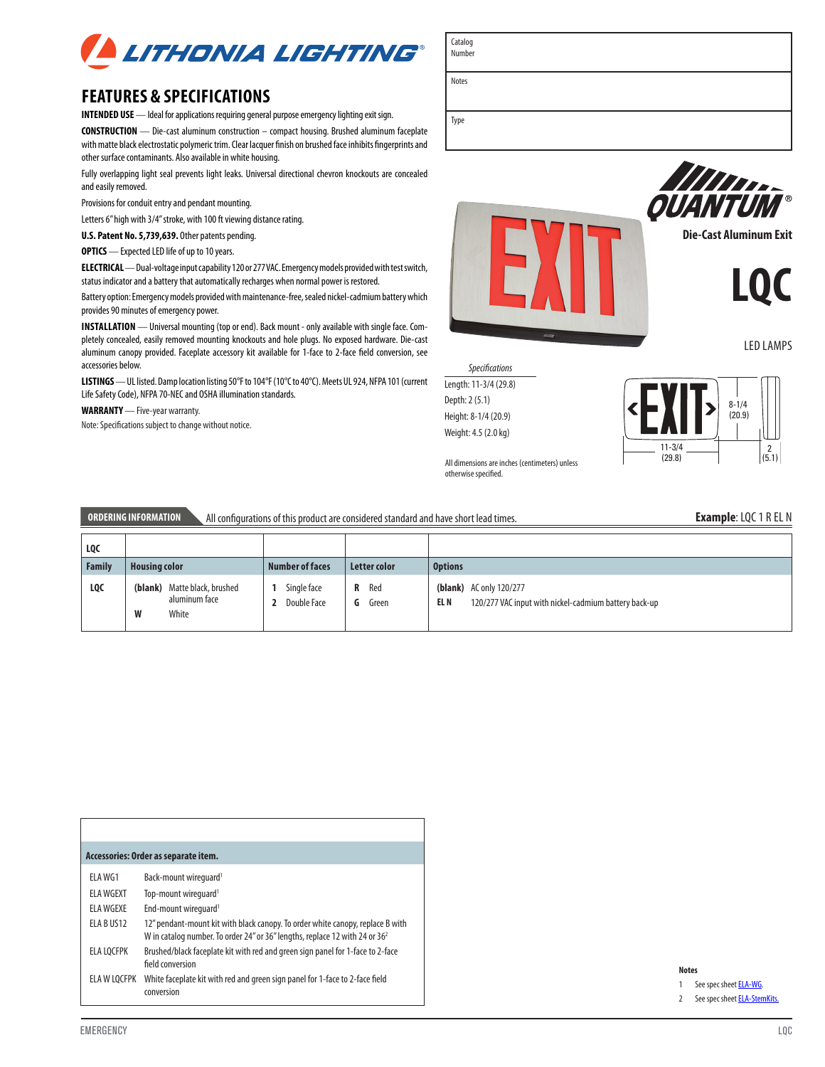

# **FEATURES & SPECIFICATIONS**

**INTENDED USE** — Ideal for applications requiring general purpose emergency lighting exit sign.

**CONSTRUCTION** — Die-cast aluminum construction – compact housing. Brushed aluminum faceplate with matte black electrostatic polymeric trim. Clear lacquer finish on brushed face inhibits fingerprints and other surface contaminants. Also available in white housing.

Fully overlapping light seal prevents light leaks. Universal directional chevron knockouts are concealed and easily removed.

Provisions for conduit entry and pendant mounting.

Letters 6" high with 3/4" stroke, with 100 ft viewing distance rating.

**U.S. Patent No. 5,739,639.** Other patents pending.

**OPTICS** — Expected LED life of up to 10 years.

**ELECTRICAL** — Dual-voltage input capability 120 or 277 VAC. Emergency models provided with test switch, status indicator and a battery that automatically recharges when normal power is restored.

Battery option:Emergency models provided with maintenance-free, sealed nickel-cadmium battery which provides 90 minutes of emergency power.

**INSTALLATION** — Universal mounting (top or end). Back mount - only available with single face. Completely concealed, easily removed mounting knockouts and hole plugs. No exposed hardware. Die-cast aluminum canopy provided. Faceplate accessory kit available for 1-face to 2-face field conversion, see accessories below.

**LISTINGS** — UL listed. Damp location listing 50°F to 104°F (10°C to 40°C). Meets UL 924, NFPA 101 (current Life Safety Code), NFPA 70-NEC and OSHA illumination standards.

**WARRANTY** — Five-year warranty.

Note: Specifications subject to change without notice.



*Specifications* Length: 11-3/4 (29.8) Depth: 2 (5.1) Height: 8-1/4 (20.9) Weight: 4.5 (2.0 kg)

Catalog Number

Notes



All dimensions are inches (centimeters) unless otherwise specified.

### **ORDERING INFORMATION** All configurations of this product are considered standard and have short lead times.

| LQC    |                                                             |                            |                        |                                                                                                 |
|--------|-------------------------------------------------------------|----------------------------|------------------------|-------------------------------------------------------------------------------------------------|
| Family | <b>Housing color</b>                                        | <b>Number of faces</b>     | Letter color           | <b>Options</b>                                                                                  |
| LQC    | (blank) Matte black, brushed<br>aluminum face<br>W<br>White | Single face<br>Double Face | Red<br>R<br>G<br>Green | <b>(blank)</b> AC only 120/277<br>120/277 VAC input with nickel-cadmium battery back-up<br>EL N |

| Accessories: Order as separate item. |                                                                                                                                                                           |  |  |  |
|--------------------------------------|---------------------------------------------------------------------------------------------------------------------------------------------------------------------------|--|--|--|
| FI A WG1                             | Back-mount wirequard <sup>1</sup>                                                                                                                                         |  |  |  |
| <b>ELA WGEXT</b>                     | Top-mount wirequard <sup>1</sup>                                                                                                                                          |  |  |  |
| <b>ELA WGEXE</b>                     | End-mount wirequard <sup>1</sup>                                                                                                                                          |  |  |  |
| ELA BUS12                            | 12" pendant-mount kit with black canopy. To order white canopy, replace B with<br>W in catalog number. To order 24" or 36" lengths, replace 12 with 24 or 36 <sup>2</sup> |  |  |  |
| <b>ELA LOCFPK</b>                    | Brushed/black faceplate kit with red and green sign panel for 1-face to 2-face<br>field conversion                                                                        |  |  |  |
| ELA W LOCFPK                         | White faceplate kit with red and green sign panel for 1-face to 2-face field<br>conversion                                                                                |  |  |  |

#### **Notes**

1 See spec sheet **ELA-WG**.

2 See spec sheet **ELA-StemKits**.